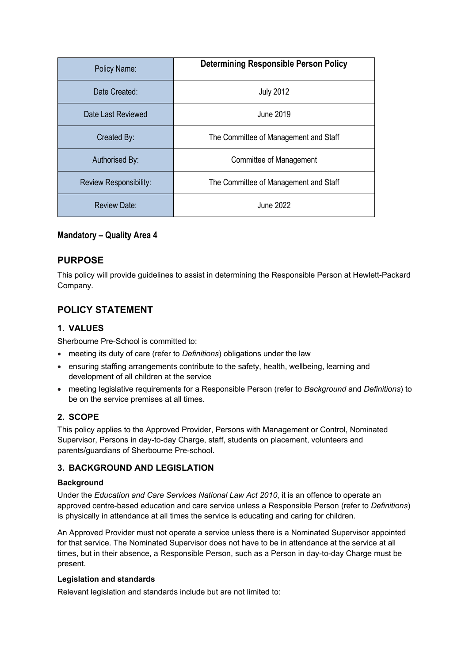| Policy Name:           | <b>Determining Responsible Person Policy</b> |
|------------------------|----------------------------------------------|
| Date Created:          | <b>July 2012</b>                             |
| Date Last Reviewed     | <b>June 2019</b>                             |
| Created By:            | The Committee of Management and Staff        |
| Authorised By:         | Committee of Management                      |
| Review Responsibility: | The Committee of Management and Staff        |
| Review Date:           | June 2022                                    |

### **Mandatory – Quality Area 4**

## **PURPOSE**

This policy will provide guidelines to assist in determining the Responsible Person at Hewlett-Packard Company.

# **POLICY STATEMENT**

### **1. VALUES**

Sherbourne Pre-School is committed to:

- meeting its duty of care (refer to *Definitions*) obligations under the law
- ensuring staffing arrangements contribute to the safety, health, wellbeing, learning and development of all children at the service
- meeting legislative requirements for a Responsible Person (refer to *Background* and *Definitions*) to be on the service premises at all times.

### **2. SCOPE**

This policy applies to the Approved Provider, Persons with Management or Control, Nominated Supervisor, Persons in day-to-day Charge, staff, students on placement, volunteers and parents/guardians of Sherbourne Pre-school.

### **3. BACKGROUND AND LEGISLATION**

#### **Background**

Under the *Education and Care Services National Law Act 2010*, it is an offence to operate an approved centre-based education and care service unless a Responsible Person (refer to *Definitions*) is physically in attendance at all times the service is educating and caring for children.

An Approved Provider must not operate a service unless there is a Nominated Supervisor appointed for that service. The Nominated Supervisor does not have to be in attendance at the service at all times, but in their absence, a Responsible Person, such as a Person in day-to-day Charge must be present.

#### **Legislation and standards**

Relevant legislation and standards include but are not limited to: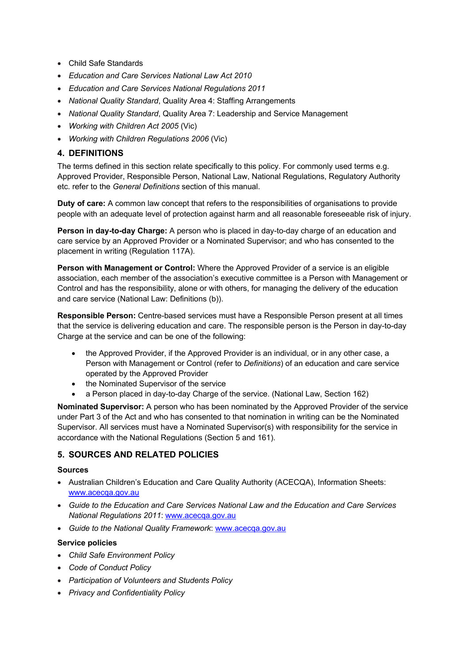- Child Safe Standards
- *Education and Care Services National Law Act 2010*
- *Education and Care Services National Regulations 2011*
- *National Quality Standard*, Quality Area 4: Staffing Arrangements
- *National Quality Standard*, Quality Area 7: Leadership and Service Management
- *Working with Children Act 2005* (Vic)
- *Working with Children Regulations 2006* (Vic)

# **4. DEFINITIONS**

The terms defined in this section relate specifically to this policy. For commonly used terms e.g. Approved Provider, Responsible Person, National Law, National Regulations, Regulatory Authority etc. refer to the *General Definitions* section of this manual.

**Duty of care:** A common law concept that refers to the responsibilities of organisations to provide people with an adequate level of protection against harm and all reasonable foreseeable risk of injury.

**Person in day-to-day Charge:** A person who is placed in day-to-day charge of an education and care service by an Approved Provider or a Nominated Supervisor; and who has consented to the placement in writing (Regulation 117A).

**Person with Management or Control:** Where the Approved Provider of a service is an eligible association, each member of the association's executive committee is a Person with Management or Control and has the responsibility, alone or with others, for managing the delivery of the education and care service (National Law: Definitions (b)).

**Responsible Person:** Centre-based services must have a Responsible Person present at all times that the service is delivering education and care. The responsible person is the Person in day-to-day Charge at the service and can be one of the following:

- the Approved Provider, if the Approved Provider is an individual, or in any other case, a Person with Management or Control (refer to *Definitions*) of an education and care service operated by the Approved Provider
- the Nominated Supervisor of the service
- a Person placed in day-to-day Charge of the service. (National Law, Section 162)

**Nominated Supervisor:** A person who has been nominated by the Approved Provider of the service under Part 3 of the Act and who has consented to that nomination in writing can be the Nominated Supervisor. All services must have a Nominated Supervisor(s) with responsibility for the service in accordance with the National Regulations (Section 5 and 161).

# **5. SOURCES AND RELATED POLICIES**

### **Sources**

- Australian Children's Education and Care Quality Authority (ACECQA), Information Sheets: www.acecqa.gov.au
- *Guide to the Education and Care Services National Law and the Education and Care Services National Regulations 2011*: www.acecqa.gov.au
- *Guide to the National Quality Framework*: www.acecqa.gov.au

### **Service policies**

- *Child Safe Environment Policy*
- *Code of Conduct Policy*
- *Participation of Volunteers and Students Policy*
- *Privacy and Confidentiality Policy*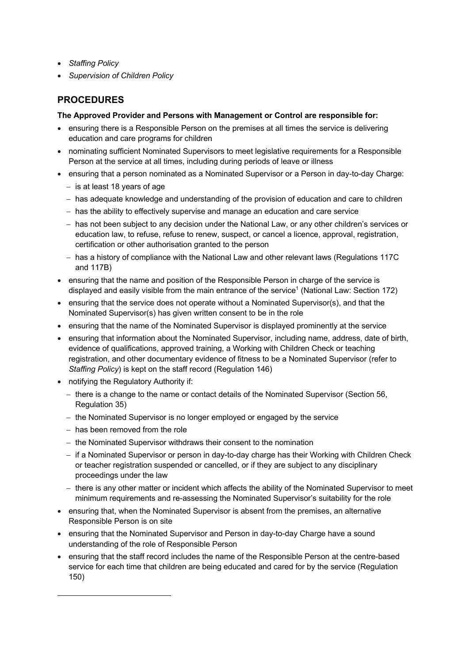- *Staffing Policy*
- *Supervision of Children Policy*

# **PROCEDURES**

### **The Approved Provider and Persons with Management or Control are responsible for:**

- ensuring there is a Responsible Person on the premises at all times the service is delivering education and care programs for children
- nominating sufficient Nominated Supervisors to meet legislative requirements for a Responsible Person at the service at all times, including during periods of leave or illness
- ensuring that a person nominated as a Nominated Supervisor or a Person in day-to-day Charge:
	- is at least 18 years of age
	- has adequate knowledge and understanding of the provision of education and care to children
	- has the ability to effectively supervise and manage an education and care service
	- has not been subject to any decision under the National Law, or any other children's services or education law, to refuse, refuse to renew, suspect, or cancel a licence, approval, registration, certification or other authorisation granted to the person
	- has a history of compliance with the National Law and other relevant laws (Regulations 117C and 117B)
- ensuring that the name and position of the Responsible Person in charge of the service is displayed and easily visible from the main entrance of the service<sup>1</sup> (National Law: Section 172)
- ensuring that the service does not operate without a Nominated Supervisor(s), and that the Nominated Supervisor(s) has given written consent to be in the role
- ensuring that the name of the Nominated Supervisor is displayed prominently at the service
- ensuring that information about the Nominated Supervisor, including name, address, date of birth, evidence of qualifications, approved training, a Working with Children Check or teaching registration, and other documentary evidence of fitness to be a Nominated Supervisor (refer to *Staffing Policy*) is kept on the staff record (Regulation 146)
- notifying the Regulatory Authority if:
	- there is a change to the name or contact details of the Nominated Supervisor (Section 56, Regulation 35)
	- the Nominated Supervisor is no longer employed or engaged by the service
	- has been removed from the role

 $\overline{a}$ 

- the Nominated Supervisor withdraws their consent to the nomination
- if a Nominated Supervisor or person in day-to-day charge has their Working with Children Check or teacher registration suspended or cancelled, or if they are subject to any disciplinary proceedings under the law
- there is any other matter or incident which affects the ability of the Nominated Supervisor to meet minimum requirements and re-assessing the Nominated Supervisor's suitability for the role
- ensuring that, when the Nominated Supervisor is absent from the premises, an alternative Responsible Person is on site
- ensuring that the Nominated Supervisor and Person in day-to-day Charge have a sound understanding of the role of Responsible Person
- ensuring that the staff record includes the name of the Responsible Person at the centre-based service for each time that children are being educated and cared for by the service (Regulation 150)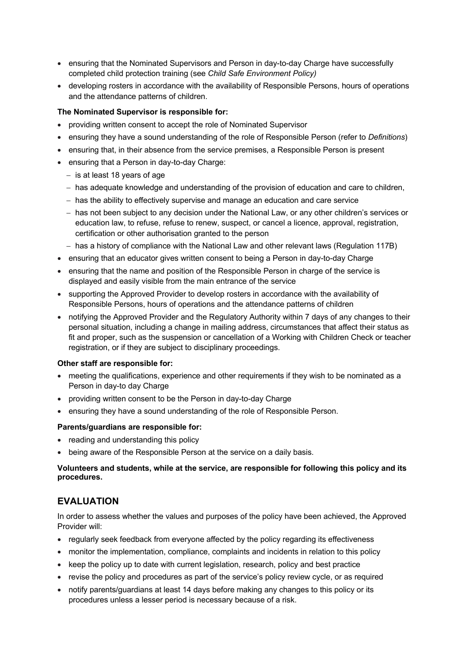- ensuring that the Nominated Supervisors and Person in day-to-day Charge have successfully completed child protection training (see *Child Safe Environment Policy)*
- developing rosters in accordance with the availability of Responsible Persons, hours of operations and the attendance patterns of children.

#### **The Nominated Supervisor is responsible for:**

- providing written consent to accept the role of Nominated Supervisor
- ensuring they have a sound understanding of the role of Responsible Person (refer to *Definitions*)
- ensuring that, in their absence from the service premises, a Responsible Person is present
- ensuring that a Person in day-to-day Charge:
	- $-$  is at least 18 years of age
	- has adequate knowledge and understanding of the provision of education and care to children,
	- has the ability to effectively supervise and manage an education and care service
	- has not been subject to any decision under the National Law, or any other children's services or education law, to refuse, refuse to renew, suspect, or cancel a licence, approval, registration, certification or other authorisation granted to the person
	- has a history of compliance with the National Law and other relevant laws (Regulation 117B)
- ensuring that an educator gives written consent to being a Person in day-to-day Charge
- ensuring that the name and position of the Responsible Person in charge of the service is displayed and easily visible from the main entrance of the service
- supporting the Approved Provider to develop rosters in accordance with the availability of Responsible Persons, hours of operations and the attendance patterns of children
- notifying the Approved Provider and the Regulatory Authority within 7 days of any changes to their personal situation, including a change in mailing address, circumstances that affect their status as fit and proper, such as the suspension or cancellation of a Working with Children Check or teacher registration, or if they are subject to disciplinary proceedings.

#### **Other staff are responsible for:**

- meeting the qualifications, experience and other requirements if they wish to be nominated as a Person in day-to day Charge
- providing written consent to be the Person in day-to-day Charge
- ensuring they have a sound understanding of the role of Responsible Person.

#### **Parents/guardians are responsible for:**

- reading and understanding this policy
- being aware of the Responsible Person at the service on a daily basis.

#### **Volunteers and students, while at the service, are responsible for following this policy and its procedures.**

## **EVALUATION**

In order to assess whether the values and purposes of the policy have been achieved, the Approved Provider will:

- regularly seek feedback from everyone affected by the policy regarding its effectiveness
- monitor the implementation, compliance, complaints and incidents in relation to this policy
- keep the policy up to date with current legislation, research, policy and best practice
- revise the policy and procedures as part of the service's policy review cycle, or as required
- notify parents/guardians at least 14 days before making any changes to this policy or its procedures unless a lesser period is necessary because of a risk.